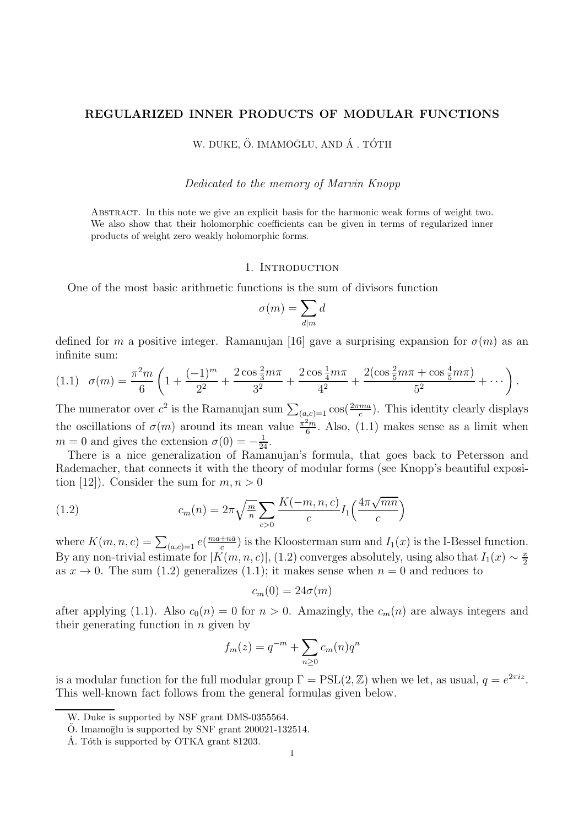## REGULARIZED INNER PRODUCTS OF MODULAR FUNCTIONS

W. DUKE, Ö. IMAMOĞLU, AND Á . TÓTH

### Dedicated to the memory of Marvin Knopp

Abstract. In this note we give an explicit basis for the harmonic weak forms of weight two. We also show that their holomorphic coefficients can be given in terms of regularized inner products of weight zero weakly holomorphic forms.

### 1. INTRODUCTION

One of the most basic arithmetic functions is the sum of divisors function

$$
\sigma(m) = \sum_{d|m} d
$$

defined for m a positive integer. Ramanujan [16] gave a surprising expansion for  $\sigma(m)$  as an infinite sum:

$$
(1.1) \quad \sigma(m) = \frac{\pi^2 m}{6} \left( 1 + \frac{(-1)^m}{2^2} + \frac{2 \cos \frac{2}{3} m \pi}{3^2} + \frac{2 \cos \frac{1}{4} m \pi}{4^2} + \frac{2(\cos \frac{2}{5} m \pi + \cos \frac{4}{5} m \pi)}{5^2} + \cdots \right).
$$

The numerator over  $c^2$  is the Ramanujan sum  $\sum_{(a,c)=1} \cos(\frac{2\pi ma}{c})$ . This identity clearly displays the oscillations of  $\sigma(m)$  around its mean value  $\frac{\pi^2 m}{6}$  $\frac{2m}{6}$ . Also, (1.1) makes sense as a limit when  $m = 0$  and gives the extension  $\sigma(0) = -\frac{1}{24}$ .

There is a nice generalization of Ramanujan's formula, that goes back to Petersson and Rademacher, that connects it with the theory of modular forms (see Knopp's beautiful exposition [12]). Consider the sum for  $m, n > 0$ 

(1.2) 
$$
c_m(n) = 2\pi \sqrt{\frac{m}{n}} \sum_{c>0} \frac{K(-m, n, c)}{c} I_1\left(\frac{4\pi \sqrt{mn}}{c}\right)
$$

where  $K(m, n, c) = \sum_{(a, c) = 1} e(\frac{ma + n\bar{a}}{c})$  $\frac{1+n\bar{a}}{c}$  is the Kloosterman sum and  $I_1(x)$  is the I-Bessel function. By any non-trivial estimate for  $|K(m, n, c)|$ , (1.2) converges absolutely, using also that  $I_1(x) \sim \frac{x}{2}$ 2 as  $x \to 0$ . The sum (1.2) generalizes (1.1); it makes sense when  $n = 0$  and reduces to

$$
c_m(0)=24\sigma(m)
$$

after applying (1.1). Also  $c_0(n) = 0$  for  $n > 0$ . Amazingly, the  $c_m(n)$  are always integers and their generating function in  $n$  given by

$$
f_m(z) = q^{-m} + \sum_{n \ge 0} c_m(n) q^n
$$

is a modular function for the full modular group  $\Gamma = \text{PSL}(2, \mathbb{Z})$  when we let, as usual,  $q = e^{2\pi i z}$ . This well-known fact follows from the general formulas given below.

W. Duke is supported by NSF grant DMS-0355564.

 $\ddot{O}$ . Imamoglu is supported by SNF grant 200021-132514.

A. Tóth is supported by OTKA grant 81203.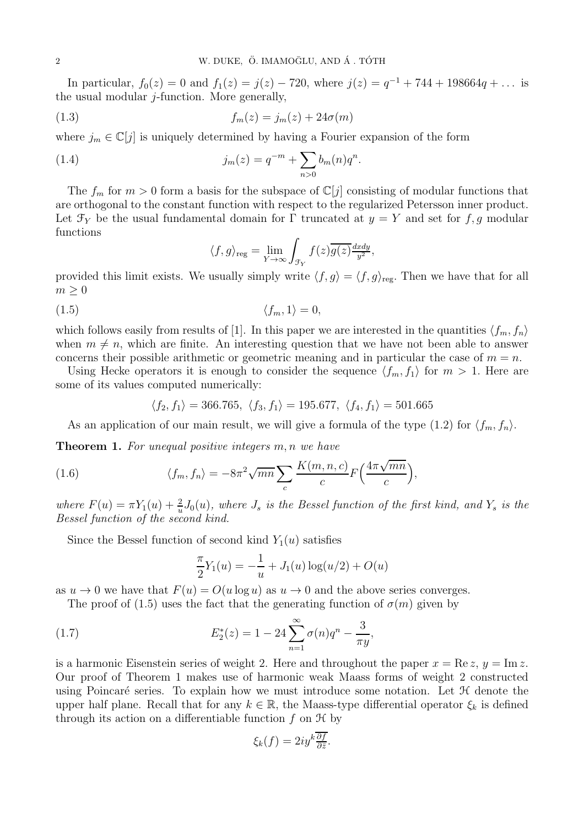In particular,  $f_0(z) = 0$  and  $f_1(z) = j(z) - 720$ , where  $j(z) = q^{-1} + 744 + 198664q + \dots$  is the usual modular j-function. More generally,

$$
(1.3) \t\t f_m(z) = j_m(z) + 24\sigma(m)
$$

where  $j_m \in \mathbb{C}[j]$  is uniquely determined by having a Fourier expansion of the form

(1.4) 
$$
j_m(z) = q^{-m} + \sum_{n>0} b_m(n)q^n
$$

The  $f_m$  for  $m > 0$  form a basis for the subspace of  $\mathbb{C}[j]$  consisting of modular functions that are orthogonal to the constant function with respect to the regularized Petersson inner product. Let  $\mathcal{F}_Y$  be the usual fundamental domain for Γ truncated at  $y = Y$  and set for f, g modular functions

.

$$
\langle f, g \rangle_{\text{reg}} = \lim_{Y \to \infty} \int_{\mathcal{F}_Y} f(z) \overline{g(z)} \frac{dxdy}{y^2},
$$

provided this limit exists. We usually simply write  $\langle f, g \rangle = \langle f, g \rangle_{\text{reg}}$ . Then we have that for all  $m \geq 0$ 

$$
(1.5) \t\t \t\t \langle f_m, 1 \rangle = 0,
$$

which follows easily from results of [1]. In this paper we are interested in the quantities  $\langle f_m, f_n \rangle$ when  $m \neq n$ , which are finite. An interesting question that we have not been able to answer concerns their possible arithmetic or geometric meaning and in particular the case of  $m = n$ .

Using Hecke operators it is enough to consider the sequence  $\langle f_m, f_1 \rangle$  for  $m > 1$ . Here are some of its values computed numerically:

$$
\langle f_2, f_1 \rangle = 366.765, \langle f_3, f_1 \rangle = 195.677, \langle f_4, f_1 \rangle = 501.665
$$

As an application of our main result, we will give a formula of the type (1.2) for  $\langle f_m, f_n \rangle$ .

**Theorem 1.** For unequal positive integers m, n we have

(1.6) 
$$
\langle f_m, f_n \rangle = -8\pi^2 \sqrt{mn} \sum_c \frac{K(m, n, c)}{c} F\left(\frac{4\pi \sqrt{mn}}{c}\right),
$$

where  $F(u) = \pi Y_1(u) + \frac{2}{u} J_0(u)$ , where  $J_s$  is the Bessel function of the first kind, and  $Y_s$  is the Bessel function of the second kind.

Since the Bessel function of second kind  $Y_1(u)$  satisfies

$$
\frac{\pi}{2}Y_1(u) = -\frac{1}{u} + J_1(u)\log(u/2) + O(u)
$$

as  $u \to 0$  we have that  $F(u) = O(u \log u)$  as  $u \to 0$  and the above series converges.

The proof of (1.5) uses the fact that the generating function of  $\sigma(m)$  given by

(1.7) 
$$
E_2^*(z) = 1 - 24 \sum_{n=1}^{\infty} \sigma(n) q^n - \frac{3}{\pi y},
$$

is a harmonic Eisenstein series of weight 2. Here and throughout the paper  $x = \text{Re } z$ ,  $y = \text{Im } z$ . Our proof of Theorem 1 makes use of harmonic weak Maass forms of weight 2 constructed using Poincaré series. To explain how we must introduce some notation. Let  $H$  denote the upper half plane. Recall that for any  $k \in \mathbb{R}$ , the Maass-type differential operator  $\xi_k$  is defined through its action on a differentiable function  $f$  on  $\mathcal{H}$  by

$$
\xi_k(f) = 2iy^k \frac{\overline{\partial f}}{\partial \overline{z}}.
$$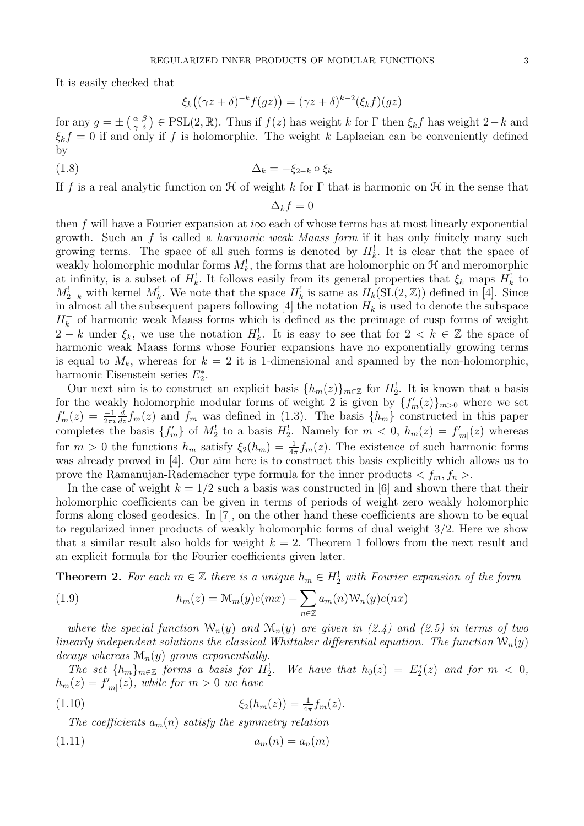It is easily checked that

$$
\xi_k((\gamma z + \delta)^{-k}f(gz)) = (\gamma z + \delta)^{k-2}(\xi_k f)(gz)
$$

for any  $g = \pm \left(\frac{\alpha}{\gamma} \frac{\beta}{\delta}\right) \in \text{PSL}(2,\mathbb{R})$ . Thus if  $f(z)$  has weight k for  $\Gamma$  then  $\xi_k f$  has weight  $2-k$  and  $\xi_k f = 0$  if and only if f is holomorphic. The weight k Laplacian can be conveniently defined by

$$
\Delta_k = -\xi_{2-k} \circ \xi_k
$$

If f is a real analytic function on  $\mathcal H$  of weight k for  $\Gamma$  that is harmonic on  $\mathcal H$  in the sense that

 $\Delta_k f = 0$ 

then f will have a Fourier expansion at  $i\infty$  each of whose terms has at most linearly exponential growth. Such an f is called a *harmonic weak Maass form* if it has only finitely many such growing terms. The space of all such forms is denoted by  $H_k^!$ . It is clear that the space of weakly holomorphic modular forms  $M_k^!$ , the forms that are holomorphic on  $\mathcal H$  and meromorphic at infinity, is a subset of  $H_k^!$ . It follows easily from its general properties that  $\xi_k$  maps  $H_k^!$  to  $M_{2-k}^!$  with kernel  $M_k^!$ . We note that the space  $H_k^!$  is same as  $H_k(SL(2,\mathbb{Z}))$  defined in [4]. Since in almost all the subsequent papers following [4] the notation  $H_k$  is used to denote the subspace  $H_k^+$  $\frac{1}{k}$  of harmonic weak Maass forms which is defined as the preimage of cusp forms of weight  $2 - k$  under  $\xi_k$ , we use the notation  $H_k^!$ . It is easy to see that for  $2 < k \in \mathbb{Z}$  the space of harmonic weak Maass forms whose Fourier expansions have no exponentially growing terms is equal to  $M_k$ , whereas for  $k = 2$  it is 1-dimensional and spanned by the non-holomorphic, harmonic Eisenstein series  $E_2^*$ .

Our next aim is to construct an explicit basis  $\{h_m(z)\}_{m\in\mathbb{Z}}$  for  $H_2^!$ . It is known that a basis for the weakly holomorphic modular forms of weight 2 is given by  $\{f'_m(z)\}_{m>0}$  where we set  $f'_m(z) = \frac{-1}{2\pi i}$  $\frac{d}{dz} f_m(z)$  and  $f_m$  was defined in (1.3). The basis  $\{h_m\}$  constructed in this paper completes the basis  $\{f'_m\}$  of  $M_2^!$  to a basis  $H_2^!$ . Namely for  $m < 0$ ,  $h_m(z) = f'_{|m|}(z)$  whereas for  $m > 0$  the functions  $h_m$  satisfy  $\xi_2(h_m) = \frac{1}{4\pi} f_m(z)$ . The existence of such harmonic forms was already proved in [4]. Our aim here is to construct this basis explicitly which allows us to prove the Ramanujan-Rademacher type formula for the inner products  $\langle f_m, f_n \rangle$ .

In the case of weight  $k = 1/2$  such a basis was constructed in [6] and shown there that their holomorphic coefficients can be given in terms of periods of weight zero weakly holomorphic forms along closed geodesics. In [7], on the other hand these coefficients are shown to be equal to regularized inner products of weakly holomorphic forms of dual weight 3/2. Here we show that a similar result also holds for weight  $k = 2$ . Theorem 1 follows from the next result and an explicit formula for the Fourier coefficients given later.

**Theorem 2.** For each  $m \in \mathbb{Z}$  there is a unique  $h_m \in H_2^!$  with Fourier expansion of the form

(1.9) 
$$
h_m(z) = \mathcal{M}_m(y)e(mx) + \sum_{n \in \mathbb{Z}} a_m(n)\mathcal{W}_n(y)e(nx)
$$

where the special function  $W_n(y)$  and  $M_n(y)$  are given in (2.4) and (2.5) in terms of two linearly independent solutions the classical Whittaker differential equation. The function  $W_n(y)$ decays whereas  $\mathcal{M}_n(y)$  grows exponentially.

The set  $\{h_m\}_{m\in\mathbb{Z}}$  forms a basis for  $H_2^!$ We have that  $h_0(z) = E_2^*(z)$  and for  $m < 0$ ,  $h_m(z) = f'_{|m|}(z)$ , while for  $m > 0$  we have

(1.10) 
$$
\xi_2(h_m(z)) = \frac{1}{4\pi} f_m(z).
$$

The coefficients  $a_m(n)$  satisfy the symmetry relation

$$
(1.11)\qquad \qquad a_m(n) = a_n(m)
$$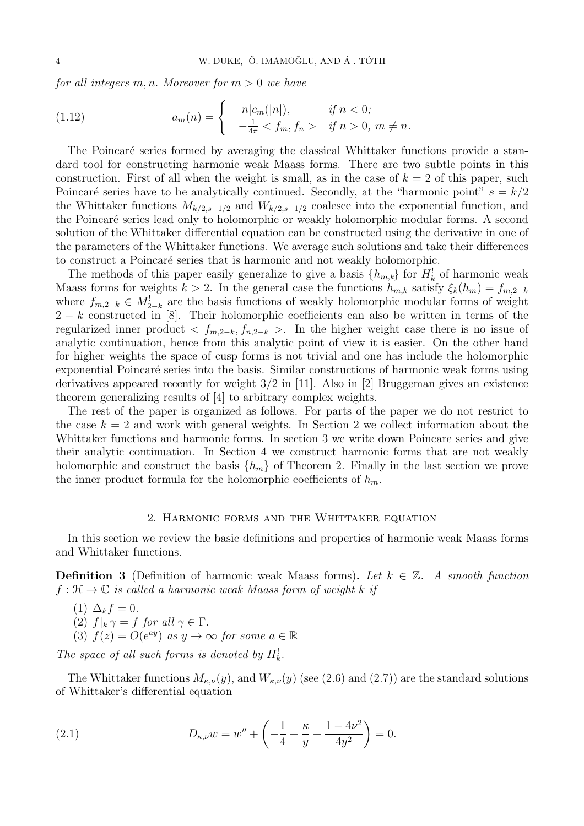for all integers m, n. Moreover for  $m > 0$  we have

(1.12) 
$$
a_m(n) = \begin{cases} |n|c_m(|n|), & \text{if } n < 0; \\ -\frac{1}{4\pi} < f_m, f_n > \text{if } n > 0, m \neq n. \end{cases}
$$

The Poincaré series formed by averaging the classical Whittaker functions provide a standard tool for constructing harmonic weak Maass forms. There are two subtle points in this construction. First of all when the weight is small, as in the case of  $k = 2$  of this paper, such Poincaré series have to be analytically continued. Secondly, at the "harmonic point"  $s = k/2$ the Whittaker functions  $M_{k/2,s-1/2}$  and  $W_{k/2,s-1/2}$  coalesce into the exponential function, and the Poincaré series lead only to holomorphic or weakly holomorphic modular forms. A second solution of the Whittaker differential equation can be constructed using the derivative in one of the parameters of the Whittaker functions. We average such solutions and take their differences to construct a Poincaré series that is harmonic and not weakly holomorphic.

The methods of this paper easily generalize to give a basis  $\{h_{m,k}\}\$ for  $H_k^!$  of harmonic weak Maass forms for weights  $k > 2$ . In the general case the functions  $h_{m,k}$  satisfy  $\xi_k(h_m) = f_{m,2-k}$ where  $f_{m,2-k} \in M_{2-k}^!$  are the basis functions of weakly holomorphic modular forms of weight  $2 - k$  constructed in [8]. Their holomorphic coefficients can also be written in terms of the regularized inner product  $\langle f_{m,2-k}, f_{n,2-k} \rangle$ . In the higher weight case there is no issue of analytic continuation, hence from this analytic point of view it is easier. On the other hand for higher weights the space of cusp forms is not trivial and one has include the holomorphic exponential Poincaré series into the basis. Similar constructions of harmonic weak forms using derivatives appeared recently for weight 3/2 in [11]. Also in [2] Bruggeman gives an existence theorem generalizing results of [4] to arbitrary complex weights.

The rest of the paper is organized as follows. For parts of the paper we do not restrict to the case  $k = 2$  and work with general weights. In Section 2 we collect information about the Whittaker functions and harmonic forms. In section 3 we write down Poincare series and give their analytic continuation. In Section 4 we construct harmonic forms that are not weakly holomorphic and construct the basis  $\{h_m\}$  of Theorem 2. Finally in the last section we prove the inner product formula for the holomorphic coefficients of  $h_m$ .

### 2. Harmonic forms and the Whittaker equation

In this section we review the basic definitions and properties of harmonic weak Maass forms and Whittaker functions.

**Definition 3** (Definition of harmonic weak Maass forms). Let  $k \in \mathbb{Z}$ . A smooth function  $f: \mathfrak{H} \to \mathbb{C}$  is called a harmonic weak Maass form of weight k if

(1)  $\Delta_k f = 0$ . (2)  $f|_k \gamma = f$  for all  $\gamma \in \Gamma$ . (3)  $f(z) = O(e^{ay})$  as  $y \to \infty$  for some  $a \in \mathbb{R}$ 

The space of all such forms is denoted by  $H_k^!$ .

The Whittaker functions  $M_{\kappa,\nu}(y)$ , and  $W_{\kappa,\nu}(y)$  (see (2.6) and (2.7)) are the standard solutions of Whittaker's differential equation

(2.1) 
$$
D_{\kappa,\nu}w = w'' + \left(-\frac{1}{4} + \frac{\kappa}{y} + \frac{1-4\nu^2}{4y^2}\right) = 0.
$$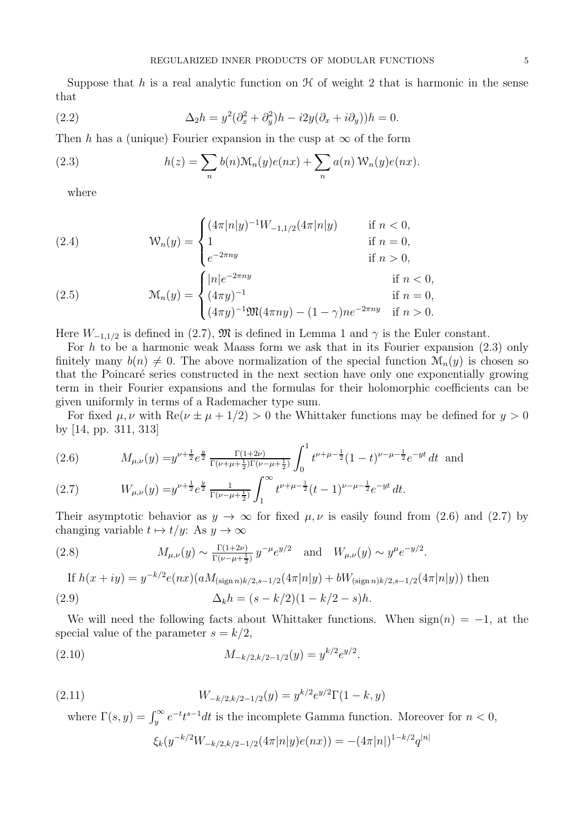Suppose that h is a real analytic function on  $H$  of weight 2 that is harmonic in the sense that

(2.2) 
$$
\Delta_2 h = y^2 (\partial_x^2 + \partial_y^2) h - i2y (\partial_x + i\partial_y) h = 0.
$$

Then h has a (unique) Fourier expansion in the cusp at  $\infty$  of the form

(2.3) 
$$
h(z) = \sum_{n} b(n) \mathcal{M}_n(y) e(nx) + \sum_{n} a(n) \mathcal{W}_n(y) e(nx).
$$

where

(2.4) 
$$
W_n(y) = \begin{cases} (4\pi |n|y)^{-1}W_{-1,1/2}(4\pi |n|y) & \text{if } n < 0, \\ 1 & \text{if } n = 0, \\ e^{-2\pi ny} & \text{if } n > 0, \end{cases}
$$
  
(2.5) 
$$
M_n(y) = \begin{cases} |n|e^{-2\pi ny} & \text{if } n < 0, \\ (4\pi y)^{-1} & \text{if } n = 0, \\ (4\pi y)^{-1} \mathfrak{M}(4\pi ny) - (1 - \gamma)ne^{-2\pi ny} & \text{if } n > 0. \end{cases}
$$

Here  $W_{-1,1/2}$  is defined in (2.7),  $\mathfrak{M}$  is defined in Lemma 1 and  $\gamma$  is the Euler constant.

For h to be a harmonic weak Maass form we ask that in its Fourier expansion  $(2.3)$  only finitely many  $b(n) \neq 0$ . The above normalization of the special function  $\mathcal{M}_n(y)$  is chosen so that the Poincaré series constructed in the next section have only one exponentially growing term in their Fourier expansions and the formulas for their holomorphic coefficients can be given uniformly in terms of a Rademacher type sum.

For fixed  $\mu, \nu$  with  $\text{Re}(\nu \pm \mu + 1/2) > 0$  the Whittaker functions may be defined for  $y > 0$ by [14, pp. 311, 313]

(2.6) 
$$
M_{\mu,\nu}(y) = y^{\nu + \frac{1}{2}} e^{\frac{y}{2}} \frac{\Gamma(1+2\nu)}{\Gamma(\nu + \mu + \frac{1}{2})\Gamma(\nu - \mu + \frac{1}{2})} \int_0^1 t^{\nu + \mu - \frac{1}{2}} (1-t)^{\nu - \mu - \frac{1}{2}} e^{-yt} dt \text{ and}
$$

(2.7) 
$$
W_{\mu,\nu}(y) = y^{\nu + \frac{1}{2}} e^{\frac{y}{2}} \frac{1}{\Gamma(\nu - \mu + \frac{1}{2})} \int_1^{\infty} t^{\nu + \mu - \frac{1}{2}} (t - 1)^{\nu - \mu - \frac{1}{2}} e^{-yt} dt.
$$

Their asymptotic behavior as  $y \to \infty$  for fixed  $\mu, \nu$  is easily found from (2.6) and (2.7) by changing variable  $t \mapsto t/y$ : As  $y \to \infty$ 

(2.8) 
$$
M_{\mu,\nu}(y) \sim \frac{\Gamma(1+2\nu)}{\Gamma(\nu-\mu+\frac{1}{2})} y^{-\mu} e^{y/2}
$$
 and  $W_{\mu,\nu}(y) \sim y^{\mu} e^{-y/2}$ .

If 
$$
h(x + iy) = y^{-k/2}e(nx)(aM_{(\text{sign }n)k/2, s-1/2}(4\pi|n|y) + bW_{(\text{sign }n)k/2, s-1/2}(4\pi|n|y))
$$
 then  
\n(2.9) 
$$
\Delta_k h = (s - k/2)(1 - k/2 - s)h.
$$

We will need the following facts about Whittaker functions. When  $sign(n) = -1$ , at the special value of the parameter  $s = k/2$ ,

(2.10) 
$$
M_{-k/2,k/2-1/2}(y) = y^{k/2}e^{y/2}.
$$

(2.11) 
$$
W_{-k/2,k/2-1/2}(y) = y^{k/2} e^{y/2} \Gamma(1-k,y)
$$

where  $\Gamma(s, y) = \int_{y}^{\infty} e^{-t} t^{s-1} dt$  is the incomplete Gamma function. Moreover for  $n < 0$ ,

$$
\xi_k(y^{-k/2}W_{-k/2,k/2-1/2}(4\pi|n|y)e(nx)) = -(4\pi|n|)^{1-k/2}q^{|n|}
$$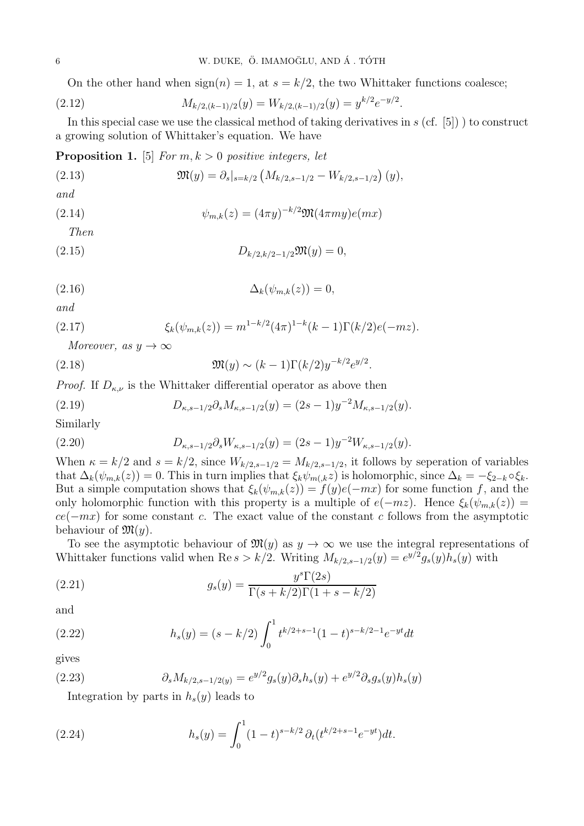On the other hand when  $sign(n) = 1$ , at  $s = k/2$ , the two Whittaker functions coalesce;

(2.12) 
$$
M_{k/2,(k-1)/2}(y) = W_{k/2,(k-1)/2}(y) = y^{k/2}e^{-y/2}.
$$

In this special case we use the classical method of taking derivatives in  $s$  (cf. [5]) to construct a growing solution of Whittaker's equation. We have

**Proposition 1.** [5] For  $m, k > 0$  positive integers, let

(2.13) 
$$
\mathfrak{M}(y) = \partial_s|_{s=k/2} \left( M_{k/2, s-1/2} - W_{k/2, s-1/2} \right)(y),
$$

and

(2.14) 
$$
\psi_{m,k}(z) = (4\pi y)^{-k/2} \mathfrak{M}(4\pi my) e(mx)
$$

Then

(2.15) 
$$
D_{k/2,k/2-1/2} \mathfrak{M}(y) = 0,
$$

$$
\Delta_k(\psi_{m,k}(z)) = 0,
$$

and

(2.17) 
$$
\xi_k(\psi_{m,k}(z)) = m^{1-k/2} (4\pi)^{1-k} (k-1) \Gamma(k/2) e(-mz).
$$

Moreover, as  $y \to \infty$ 

(2.18) 
$$
\mathfrak{M}(y) \sim (k-1)\Gamma(k/2)y^{-k/2}e^{y/2}.
$$

*Proof.* If  $D_{\kappa,\nu}$  is the Whittaker differential operator as above then

(2.19) 
$$
D_{\kappa,s-1/2}\partial_s M_{\kappa,s-1/2}(y) = (2s-1)y^{-2}M_{\kappa,s-1/2}(y).
$$

Similarly

(2.20) 
$$
D_{\kappa,s-1/2}\partial_s W_{\kappa,s-1/2}(y) = (2s-1)y^{-2}W_{\kappa,s-1/2}(y).
$$

When  $\kappa = k/2$  and  $s = k/2$ , since  $W_{k/2,s-1/2} = M_{k/2,s-1/2}$ , it follows by seperation of variables that  $\Delta_k(\psi_{m,k}(z)) = 0$ . This in turn implies that  $\xi_k \psi_{m(k} z)$  is holomorphic, since  $\Delta_k = -\xi_{2-k} \circ \xi_k$ . But a simple computation shows that  $\xi_k(\psi_{m,k}(z)) = f(y)e(-mx)$  for some function f, and the only holomorphic function with this property is a multiple of  $e(-mz)$ . Hence  $\xi_k(\psi_{m,k}(z))$  =  $ce(-mx)$  for some constant c. The exact value of the constant c follows from the asymptotic behaviour of  $\mathfrak{M}(y)$ .

To see the asymptotic behaviour of  $\mathfrak{M}(y)$  as  $y \to \infty$  we use the integral representations of Whittaker functions valid when Re  $s > k/2$ . Writing  $M_{k/2,s-1/2}(y) = e^{y/2} g_s(y) h_s(y)$  with

(2.21) 
$$
g_s(y) = \frac{y^s \Gamma(2s)}{\Gamma(s + k/2) \Gamma(1 + s - k/2)}
$$

and

(2.22) 
$$
h_s(y) = (s - k/2) \int_0^1 t^{k/2 + s - 1} (1 - t)^{s - k/2 - 1} e^{-yt} dt
$$

gives

(2.23) 
$$
\partial_s M_{k/2, s-1/2(y)} = e^{y/2} g_s(y) \partial_s h_s(y) + e^{y/2} \partial_s g_s(y) h_s(y)
$$

Integration by parts in  $h_s(y)$  leads to

(2.24) 
$$
h_s(y) = \int_0^1 (1-t)^{s-k/2} \partial_t (t^{k/2+s-1} e^{-yt}) dt.
$$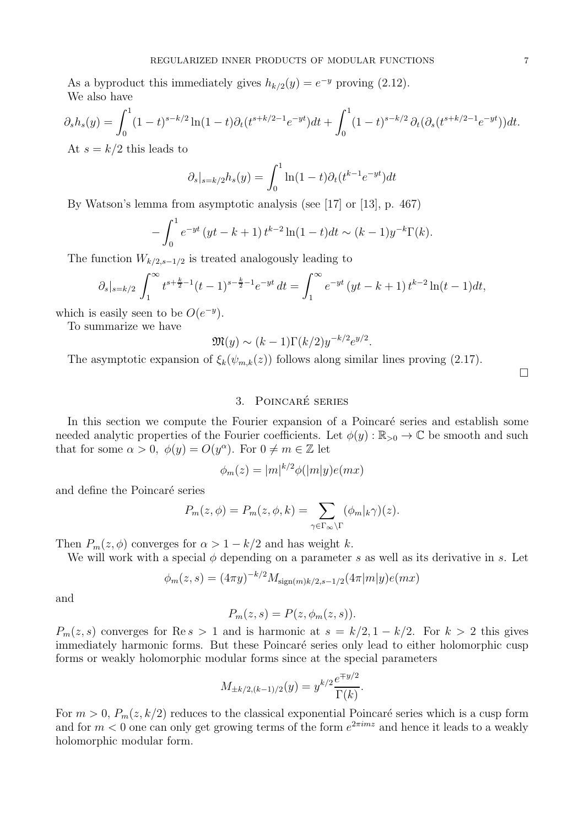As a byproduct this immediately gives  $h_{k/2}(y) = e^{-y}$  proving (2.12). We also have

$$
\partial_s h_s(y) = \int_0^1 (1-t)^{s-k/2} \ln(1-t) \partial_t (t^{s+k/2-1} e^{-yt}) dt + \int_0^1 (1-t)^{s-k/2} \partial_t (\partial_s (t^{s+k/2-1} e^{-yt})) dt.
$$
  
At  $s = k/2$  this leads to

At  $s = k/2$  this leads to

$$
\partial_s|_{s=k/2}h_s(y) = \int_0^1 \ln(1-t)\partial_t(t^{k-1}e^{-yt})dt
$$

By Watson's lemma from asymptotic analysis (see [17] or [13], p. 467)

$$
-\int_0^1 e^{-yt} (yt - k + 1) t^{k-2} \ln(1-t) dt \sim (k - 1) y^{-k} \Gamma(k).
$$

The function  $W_{k/2,s-1/2}$  is treated analogously leading to

$$
\partial_s|_{s=k/2} \int_1^{\infty} t^{s+\frac{k}{2}-1} (t-1)^{s-\frac{k}{2}-1} e^{-yt} dt = \int_1^{\infty} e^{-yt} (yt-k+1) t^{k-2} \ln(t-1) dt,
$$

which is easily seen to be  $O(e^{-y})$ .

To summarize we have

$$
\mathfrak{M}(y) \sim (k-1)\Gamma(k/2)y^{-k/2}e^{y/2}
$$

.

The asymptotic expansion of  $\xi_k(\psi_{m,k}(z))$  follows along similar lines proving (2.17).

 $\Box$ 

# 3. POINCARÉ SERIES

In this section we compute the Fourier expansion of a Poincaré series and establish some needed analytic properties of the Fourier coefficients. Let  $\phi(y): \mathbb{R}_{>0} \to \mathbb{C}$  be smooth and such that for some  $\alpha > 0$ ,  $\phi(y) = O(y^{\alpha})$ . For  $0 \neq m \in \mathbb{Z}$  let

$$
\phi_m(z) = |m|^{k/2} \phi(|m|y) e(mx)
$$

and define the Poincaré series

$$
P_m(z, \phi) = P_m(z, \phi, k) = \sum_{\gamma \in \Gamma_{\infty} \backslash \Gamma} (\phi_m|_k \gamma)(z).
$$

Then  $P_m(z, \phi)$  converges for  $\alpha > 1 - k/2$  and has weight k.

We will work with a special  $\phi$  depending on a parameter s as well as its derivative in s. Let

$$
\phi_m(z,s) = (4\pi y)^{-k/2} M_{\text{sign}(m)k/2, s-1/2}(4\pi |m|y)e(mx)
$$

and

$$
P_m(z,s) = P(z, \phi_m(z,s)).
$$

 $P_m(z, s)$  converges for Re s > 1 and is harmonic at  $s = k/2, 1 - k/2$ . For  $k > 2$  this gives immediately harmonic forms. But these Poincaré series only lead to either holomorphic cusp forms or weakly holomorphic modular forms since at the special parameters

$$
M_{\pm k/2,(k-1)/2}(y) = y^{k/2} \frac{e^{\mp y/2}}{\Gamma(k)}.
$$

For  $m > 0$ ,  $P_m(z, k/2)$  reduces to the classical exponential Poincaré series which is a cusp form and for  $m < 0$  one can only get growing terms of the form  $e^{2\pi imz}$  and hence it leads to a weakly holomorphic modular form.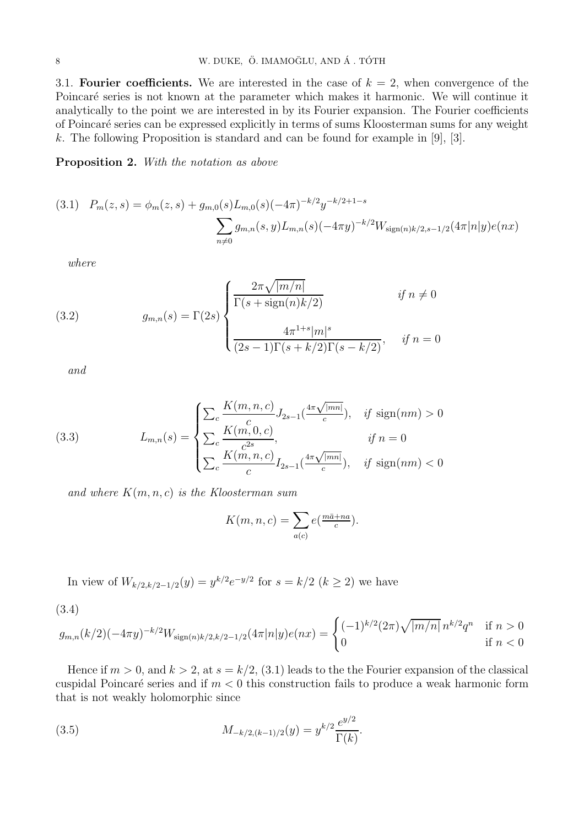3.1. Fourier coefficients. We are interested in the case of  $k = 2$ , when convergence of the Poincaré series is not known at the parameter which makes it harmonic. We will continue it analytically to the point we are interested in by its Fourier expansion. The Fourier coefficients of Poincar´e series can be expressed explicitly in terms of sums Kloosterman sums for any weight k. The following Proposition is standard and can be found for example in [9], [3].

Proposition 2. With the notation as above

$$
(3.1) \quad P_m(z,s) = \phi_m(z,s) + g_{m,0}(s)L_{m,0}(s)(-4\pi)^{-k/2}y^{-k/2+1-s}
$$

$$
\sum_{n\neq 0} g_{m,n}(s,y)L_{m,n}(s)(-4\pi y)^{-k/2}W_{\text{sign}(n)k/2,s-1/2}(4\pi|n|y)e(nx)
$$

where

(3.2) 
$$
g_{m,n}(s) = \Gamma(2s) \begin{cases} \frac{2\pi\sqrt{|m/n|}}{\Gamma(s + \text{sign}(n)k/2)} & \text{if } n \neq 0\\ \frac{4\pi^{1+s}|m|^s}{(2s-1)\Gamma(s+k/2)\Gamma(s-k/2)}, & \text{if } n = 0 \end{cases}
$$

and

(3.3) 
$$
L_{m,n}(s) = \begin{cases} \sum_{c} \frac{K(m,n,c)}{c} J_{2s-1}(\frac{4\pi\sqrt{|mn|}}{c}), & \text{if sign}(nm) > 0\\ \sum_{c} \frac{K(m,0,c)}{c^{2s}}, & \text{if } n = 0\\ \sum_{c} \frac{K(m,n,c)}{c} I_{2s-1}(\frac{4\pi\sqrt{|mn|}}{c}), & \text{if sign}(nm) < 0 \end{cases}
$$

and where  $K(m, n, c)$  is the Kloosterman sum

$$
K(m, n, c) = \sum_{a(c)} e(\frac{m\bar{a} + na}{c}).
$$

In view of  $W_{k/2,k/2-1/2}(y) = y^{k/2}e^{-y/2}$  for  $s = k/2$   $(k \ge 2)$  we have

(3.4)

$$
g_{m,n}(k/2)(-4\pi y)^{-k/2}W_{\text{sign}(n)k/2,k/2-1/2}(4\pi|n|y)e(nx) = \begin{cases} (-1)^{k/2}(2\pi)\sqrt{|m/n|} \, n^{k/2}q^n & \text{if } n > 0\\ 0 & \text{if } n < 0 \end{cases}
$$

Hence if  $m > 0$ , and  $k > 2$ , at  $s = k/2$ , (3.1) leads to the the Fourier expansion of the classical cuspidal Poincaré series and if  $m < 0$  this construction fails to produce a weak harmonic form that is not weakly holomorphic since

(3.5) 
$$
M_{-k/2,(k-1)/2}(y) = y^{k/2} \frac{e^{y/2}}{\Gamma(k)}.
$$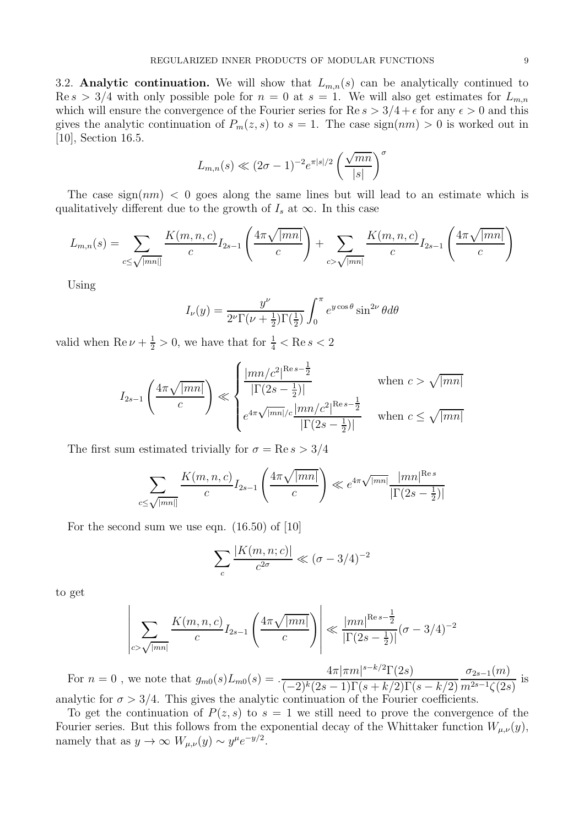3.2. Analytic continuation. We will show that  $L_{m,n}(s)$  can be analytically continued to  $\text{Re } s > 3/4$  with only possible pole for  $n = 0$  at  $s = 1$ . We will also get estimates for  $L_{m,n}$ which will ensure the convergence of the Fourier series for  $\text{Re } s > 3/4 + \epsilon$  for any  $\epsilon > 0$  and this gives the analytic continuation of  $P_m(z, s)$  to  $s = 1$ . The case sign $(nm) > 0$  is worked out in [10], Section 16.5.

$$
L_{m,n}(s) \ll (2\sigma - 1)^{-2} e^{\pi |s|/2} \left(\frac{\sqrt{mn}}{|s|}\right)^{\sigma}
$$

The case sign $(nm) < 0$  goes along the same lines but will lead to an estimate which is qualitatively different due to the growth of  $I_s$  at  $\infty$ . In this case

$$
L_{m,n}(s) = \sum_{c \le \sqrt{|mn|}} \frac{K(m,n,c)}{c} I_{2s-1} \left( \frac{4\pi\sqrt{|mn|}}{c} \right) + \sum_{c > \sqrt{|mn|}} \frac{K(m,n,c)}{c} I_{2s-1} \left( \frac{4\pi\sqrt{|mn|}}{c} \right)
$$

Using

$$
I_{\nu}(y) = \frac{y^{\nu}}{2^{\nu}\Gamma(\nu + \frac{1}{2})\Gamma(\frac{1}{2})} \int_{0}^{\pi} e^{y \cos \theta} \sin^{2\nu} \theta d\theta
$$

valid when  $\text{Re}\,\nu + \frac{1}{2} > 0$ , we have that for  $\frac{1}{4} < \text{Re}\,s < 2$ 

$$
I_{2s-1}\left(\frac{4\pi\sqrt{|mn|}}{c}\right) \ll \begin{cases} \frac{|mn/c^2|^{Re\,s-\frac{1}{2}}}{|\Gamma(2s-\frac{1}{2})|} & \text{when } c > \sqrt{|mn|} \\ e^{4\pi\sqrt{|mn|}/c}\frac{|mn/c^2|^{Re\,s-\frac{1}{2}}}{|\Gamma(2s-\frac{1}{2})|} & \text{when } c \le \sqrt{|mn|} \end{cases}
$$

The first sum estimated trivially for  $\sigma = \text{Re } s > 3/4$ 

$$
\sum_{c \le \sqrt{|mn|}} \frac{K(m, n, c)}{c} I_{2s-1}\left(\frac{4\pi\sqrt{|mn|}}{c}\right) \ll e^{4\pi\sqrt{|mn|}} \frac{|mn|^{Res}}{|\Gamma(2s - \frac{1}{2})|}
$$

For the second sum we use eqn. (16.50) of [10]

$$
\sum_{c} \frac{|K(m, n; c)|}{c^{2\sigma}} \ll (\sigma - 3/4)^{-2}
$$

to get

$$
\left| \sum_{c > \sqrt{|mn|}} \frac{K(m, n, c)}{c} I_{2s-1} \left( \frac{4\pi \sqrt{|mn|}}{c} \right) \right| \ll \frac{|mn|^{Res - \frac{1}{2}}}{|\Gamma(2s - \frac{1}{2})|} (\sigma - 3/4)^{-2}
$$

For  $n = 0$ , we note that  $g_{m0}(s)L_{m0}(s) = \frac{4\pi|\pi m|^{s-k/2}\Gamma(2s)}{(s-k)(2s-1)\Gamma(s+k/2)\Gamma(s)}$  $(-2)^k (2s-1) \Gamma(s+k/2) \Gamma(s-k/2)$  $\sigma_{2s-1}(m)$  $m^{2s-1}\zeta(2s)$ is analytic for  $\sigma > 3/4$ . This gives the analytic continuation of the Fourier coefficients.

To get the continuation of  $P(z, s)$  to  $s = 1$  we still need to prove the convergence of the Fourier series. But this follows from the exponential decay of the Whittaker function  $W_{\mu,\nu}(y)$ , namely that as  $y \to \infty$   $W_{\mu,\nu}(y) \sim y^{\mu} e^{-y/2}$ .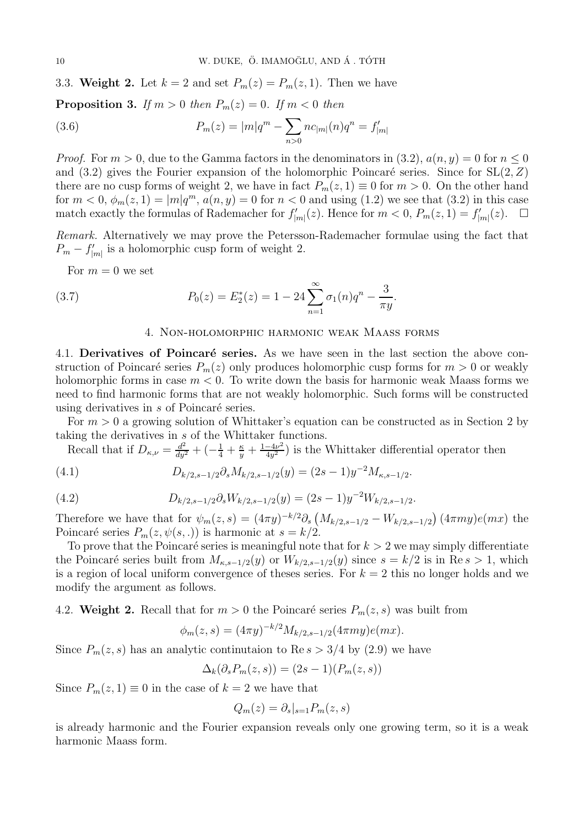3.3. Weight 2. Let  $k = 2$  and set  $P_m(z) = P_m(z, 1)$ . Then we have

**Proposition 3.** If  $m > 0$  then  $P_m(z) = 0$ . If  $m < 0$  then

(3.6) 
$$
P_m(z) = |m|q^m - \sum_{n>0} n c_{|m|}(n)q^n = f'_{|m|}
$$

*Proof.* For  $m > 0$ , due to the Gamma factors in the denominators in (3.2),  $a(n, y) = 0$  for  $n \le 0$ and  $(3.2)$  gives the Fourier expansion of the holomorphic Poincaré series. Since for  $SL(2, Z)$ there are no cusp forms of weight 2, we have in fact  $P_m(z, 1) \equiv 0$  for  $m > 0$ . On the other hand for  $m < 0$ ,  $\phi_m(z, 1) = |m|q^m$ ,  $a(n, y) = 0$  for  $n < 0$  and using (1.2) we see that (3.2) in this case match exactly the formulas of Rademacher for  $f'_{|m|}(z)$ . Hence for  $m < 0$ ,  $P_m(z, 1) = f'_{|m|}(z)$ .  $\Box$ 

Remark. Alternatively we may prove the Petersson-Rademacher formulae using the fact that  $P_m - f'_{|m|}$  is a holomorphic cusp form of weight 2.

For  $m = 0$  we set

(3.7) 
$$
P_0(z) = E_2^*(z) = 1 - 24 \sum_{n=1}^{\infty} \sigma_1(n) q^n - \frac{3}{\pi y}.
$$

#### 4. Non-holomorphic harmonic weak Maass forms

4.1. Derivatives of Poincaré series. As we have seen in the last section the above construction of Poincaré series  $P_m(z)$  only produces holomorphic cusp forms for  $m > 0$  or weakly holomorphic forms in case  $m < 0$ . To write down the basis for harmonic weak Maass forms we need to find harmonic forms that are not weakly holomorphic. Such forms will be constructed using derivatives in  $s$  of Poincaré series.

For  $m > 0$  a growing solution of Whittaker's equation can be constructed as in Section 2 by taking the derivatives in s of the Whittaker functions.

Recall that if  $D_{\kappa,\nu} = \frac{d^2}{dy^2} + \left(-\frac{1}{4} + \frac{\kappa}{y} + \frac{1-4\nu^2}{4y^2}\right)$  $\frac{-4\nu^2}{4y^2}$ ) is the Whittaker differential operator then

(4.1) 
$$
D_{k/2,s-1/2}\partial_s M_{k/2,s-1/2}(y) = (2s-1)y^{-2}M_{\kappa,s-1/2}.
$$

(4.2) 
$$
D_{k/2,s-1/2}\partial_s W_{k/2,s-1/2}(y) = (2s-1)y^{-2}W_{k/2,s-1/2}.
$$

Therefore we have that for  $\psi_m(z,s) = (4\pi y)^{-k/2} \partial_s \left( M_{k/2,s-1/2} - W_{k/2,s-1/2} \right) (4\pi my)e(mx)$  the Poincaré series  $P_m(z, \psi(s, .))$  is harmonic at  $s = k/2$ .

To prove that the Poincaré series is meaningful note that for  $k > 2$  we may simply differentiate the Poincaré series built from  $M_{\kappa,s-1/2}(y)$  or  $W_{k/2,s-1/2}(y)$  since  $s = k/2$  is in Re s > 1, which is a region of local uniform convergence of theses series. For  $k = 2$  this no longer holds and we modify the argument as follows.

4.2. Weight 2. Recall that for  $m > 0$  the Poincaré series  $P_m(z, s)$  was built from

$$
\phi_m(z,s) = (4\pi y)^{-k/2} M_{k/2,s-1/2}(4\pi my)e(mx).
$$

Since  $P_m(z, s)$  has an analytic continutaion to Re  $s > 3/4$  by (2.9) we have

$$
\Delta_k(\partial_s P_m(z,s)) = (2s-1)(P_m(z,s))
$$

Since  $P_m(z, 1) \equiv 0$  in the case of  $k = 2$  we have that

$$
Q_m(z) = \partial_s|_{s=1} P_m(z, s)
$$

is already harmonic and the Fourier expansion reveals only one growing term, so it is a weak harmonic Maass form.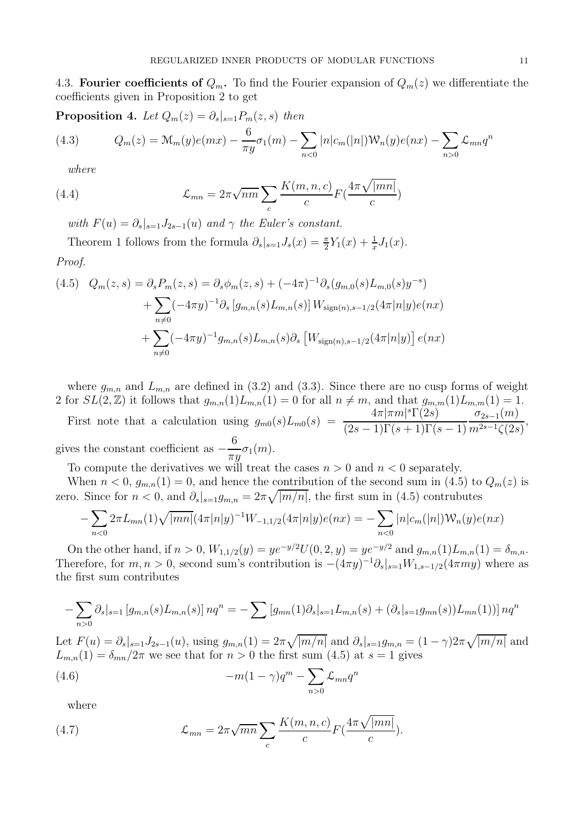4.3. Fourier coefficients of  $Q_m$ . To find the Fourier expansion of  $Q_m(z)$  we differentiate the coefficients given in Proposition 2 to get

**Proposition 4.** Let 
$$
Q_m(z) = \partial_s|_{s=1} P_m(z, s)
$$
 then  
\n(4.3) 
$$
Q_m(z) = \mathcal{M}_m(y)e(mx) - \frac{6}{\pi y}\sigma_1(m) - \sum_{n < 0} |n|c_m(|n|) \mathcal{W}_n(y)e(nx) - \sum_{n > 0} \mathcal{L}_{mn} q^n
$$

where

(4.4) 
$$
\mathcal{L}_{mn} = 2\pi \sqrt{nm} \sum_{c} \frac{K(m, n, c)}{c} F(\frac{4\pi \sqrt{|mn|}}{c})
$$

with  $F(u) = \partial_s |_{s=1} J_{2s-1}(u)$  and  $\gamma$  the Euler's constant.

Theorem 1 follows from the formula  $\partial_s|_{s=1} J_s(x) = \frac{\pi}{2} Y_1(x) + \frac{1}{x} J_1(x)$ .

Proof.

$$
(4.5) \quad Q_m(z,s) = \partial_s P_m(z,s) = \partial_s \phi_m(z,s) + (-4\pi)^{-1} \partial_s (g_{m,0}(s) L_{m,0}(s) y^{-s})
$$

$$
+ \sum_{n \neq 0} (-4\pi y)^{-1} \partial_s [g_{m,n}(s) L_{m,n}(s)] W_{\text{sign}(n),s-1/2} (4\pi |n|y) e(nx)
$$

$$
+ \sum_{n \neq 0} (-4\pi y)^{-1} g_{m,n}(s) L_{m,n}(s) \partial_s [W_{\text{sign}(n),s-1/2} (4\pi |n|y)] e(nx)
$$

where  $g_{m,n}$  and  $L_{m,n}$  are defined in (3.2) and (3.3). Since there are no cusp forms of weight 2 for  $SL(2,\mathbb{Z})$  it follows that  $g_{m,n}(1)L_{m,n}(1) = 0$  for all  $n \neq m$ , and that  $g_{m,m}(1)L_{m,m}(1) = 1$ .

First note that a calculation using  $g_{m0}(s)L_{m0}(s) = \frac{4\pi|\pi m|^s \Gamma(2s)}{(2s-1)\Gamma(s+1)\Gamma(s+1)}$  $(2s-1)\Gamma(s+1)\Gamma(s-1)$  $\sigma_{2s-1}(m)$  $\frac{m^{2s-1}(\mu)}{m^{2s-1}\zeta(2s)},$ gives the constant coefficient as  $-$ 6  $\frac{\sigma}{\pi y}\sigma_1(m).$ 

To compute the derivatives we will treat the cases  $n > 0$  and  $n < 0$  separately.

When  $n < 0$ ,  $g_{m,n}(1) = 0$ , and hence the contribution of the second sum in (4.5) to  $Q_m(z)$  is zero. Since for  $n < 0$ , and  $\partial_s |_{s=1} g_{m,n} = 2\pi \sqrt{|m/n|}$ , the first sum in (4.5) contrubutes

$$
-\sum_{n<0} 2\pi L_{mn}(1)\sqrt{|mn|}\left(4\pi|n|y\right)^{-1}W_{-1,1/2}(4\pi|n|y)e(nx) = -\sum_{n<0} |n|c_m(|n|)W_n(y)e(nx)
$$

On the other hand, if  $n > 0$ ,  $W_{1,1/2}(y) = ye^{-y/2}U(0, 2, y) = ye^{-y/2}$  and  $g_{m,n}(1)L_{m,n}(1) = \delta_{m,n}$ . Therefore, for  $m, n > 0$ , second sum's contribution is  $-(4\pi y)^{-1}\partial_s|_{s=1}W_{1,s-1/2}(4\pi my)$  where as the first sum contributes

$$
-\sum_{n>0}\partial_s|_{s=1}\left[g_{m,n}(s)L_{m,n}(s)\right]nq^n = -\sum\left[g_{mn}(1)\partial_s|_{s=1}L_{m,n}(s) + (\partial_s|_{s=1}g_{mn}(s))L_{mn}(1))\right]nq^n
$$

Let  $F(u) = \partial_s |_{s=1} J_{2s-1}(u)$ , using  $g_{m,n}(1) = 2\pi \sqrt{|m/n|}$  and  $\partial_s |_{s=1} g_{m,n} = (1 - \gamma) 2\pi \sqrt{|m/n|}$  and  $L_{m,n}(1) = \delta_{mn}/2\pi$  we see that for  $n > 0$  the first sum  $(4.5)$  at  $s = 1$  gives

(4.6) 
$$
-m(1-\gamma)q^m - \sum_{n>0} \mathcal{L}_{mn}q^n
$$

where

(4.7) 
$$
\mathcal{L}_{mn} = 2\pi \sqrt{mn} \sum_{c} \frac{K(m, n, c)}{c} F\left(\frac{4\pi \sqrt{|mn|}}{c}\right).
$$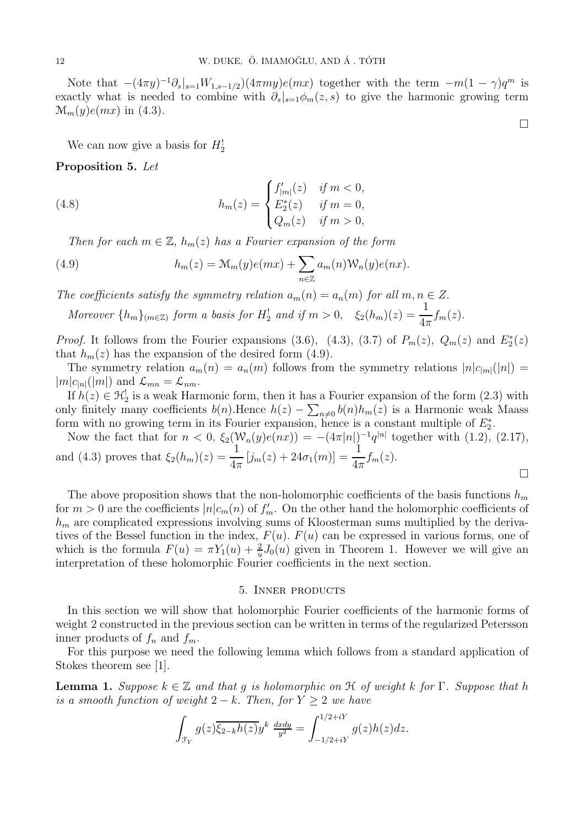Note that  $-(4\pi y)^{-1}\partial_s|_{s=1}W_{1,s-1/2}$  $(4\pi my)e(mx)$  together with the term  $-m(1-\gamma)q^m$  is exactly what is needed to combine with  $\partial_s|_{s=1}\phi_m(z,s)$  to give the harmonic growing term  $\mathcal{M}_m(y)e(mx)$  in (4.3).

We can now give a basis for  $H_2^!$ 

### Proposition 5. Let

(4.8) 
$$
h_m(z) = \begin{cases} f'_{|m|}(z) & \text{if } m < 0, \\ E_2^*(z) & \text{if } m = 0, \\ Q_m(z) & \text{if } m > 0, \end{cases}
$$

Then for each  $m \in \mathbb{Z}$ ,  $h_m(z)$  has a Fourier expansion of the form

(4.9) 
$$
h_m(z) = \mathcal{M}_m(y)e(mx) + \sum_{n \in \mathbb{Z}} a_m(n)\mathcal{W}_n(y)e(nx).
$$

The coefficients satisfy the symmetry relation  $a_m(n) = a_n(m)$  for all  $m, n \in \mathbb{Z}$ .

Moreover  $\{h_m\}_{(m\in\mathbb{Z})}$  form a basis for  $H_2^!$  and if  $m > 0$ ,  $\xi_2(h_m)(z) = \frac{1}{4\pi} f_m(z)$ .

*Proof.* It follows from the Fourier expansions (3.6), (4.3), (3.7) of  $P_m(z)$ ,  $Q_m(z)$  and  $E_2^*(z)$ that  $h_m(z)$  has the expansion of the desired form (4.9).

The symmetry relation  $a_m(n) = a_n(m)$  follows from the symmetry relations  $|n|c_{|m|}(|n|) =$  $|m|c_{n}(|m|)$  and  $\mathcal{L}_{mn} = \mathcal{L}_{nm}$ .

If  $h(z) \in \mathcal{H}_2^!$  is a weak Harmonic form, then it has a Fourier expansion of the form (2.3) with only finitely many coefficients  $b(n)$ . Hence  $h(z) - \sum_{n \neq 0} b(n)h_m(z)$  is a Harmonic weak Maass form with no growing term in its Fourier expansion, hence is a constant multiple of  $E_2^*$ .

Now the fact that for  $n < 0$ ,  $\xi_2(\mathcal{W}_n(y)e(nx)) = -(4\pi |n|)^{-1}q^{|n|}$  together with  $(1.2)$ ,  $(2.17)$ , and (4.3) proves that  $\xi_2(h_m)(z) = \frac{1}{4\pi} [j_m(z) + 24\sigma_1(m)] = \frac{1}{4\pi} f_m(z)$ .

The above proposition shows that the non-holomorphic coefficients of the basis functions  $h_m$ for  $m > 0$  are the coefficients  $|n|c_m(n)$  of  $f'_m$ . On the other hand the holomorphic coefficients of  $h_m$  are complicated expressions involving sums of Kloosterman sums multiplied by the derivatives of the Bessel function in the index,  $F(u)$ .  $F(u)$  can be expressed in various forms, one of which is the formula  $F(u) = \pi Y_1(u) + \frac{2}{u} J_0(u)$  given in Theorem 1. However we will give an interpretation of these holomorphic Fourier coefficients in the next section.

### 5. Inner products

In this section we will show that holomorphic Fourier coefficients of the harmonic forms of weight 2 constructed in the previous section can be written in terms of the regularized Petersson inner products of  $f_n$  and  $f_m$ .

For this purpose we need the following lemma which follows from a standard application of Stokes theorem see [1].

**Lemma 1.** Suppose  $k \in \mathbb{Z}$  and that g is holomorphic on  $\mathcal H$  of weight k for  $\Gamma$ . Suppose that h is a smooth function of weight  $2 - k$ . Then, for  $Y \geq 2$  we have

$$
\int_{\mathcal{F}_Y} g(z) \overline{\xi_{2-k}h(z)} y^k \frac{dxdy}{y^2} = \int_{-1/2+iY}^{1/2+iY} g(z)h(z)dz.
$$

 $\Box$ 

 $\Box$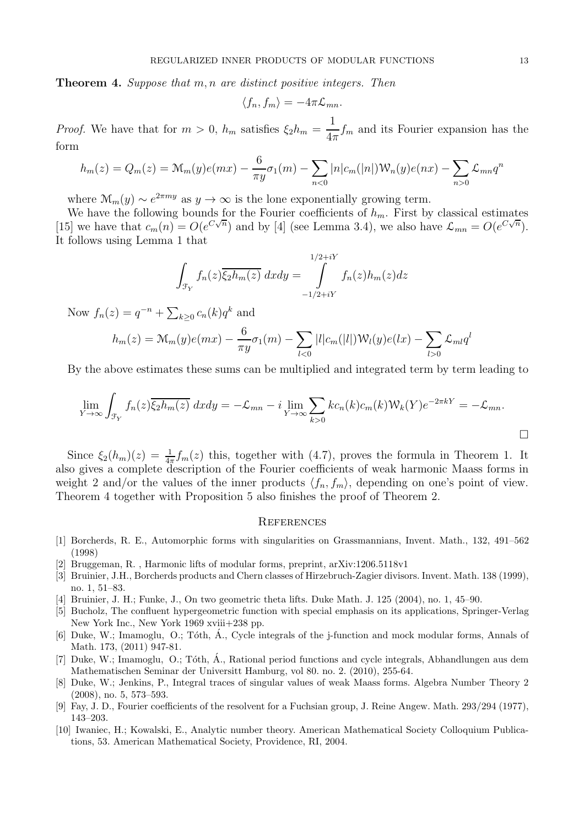Theorem 4. Suppose that m, n are distinct positive integers. Then

$$
\langle f_n, f_m \rangle = -4\pi \mathcal{L}_{mn}.
$$

*Proof.* We have that for  $m > 0$ ,  $h_m$  satisfies  $\xi_2 h_m =$ 1  $\frac{1}{4\pi}f_m$  and its Fourier expansion has the form

$$
h_m(z) = Q_m(z) = \mathcal{M}_m(y)e(mx) - \frac{6}{\pi y} \sigma_1(m) - \sum_{n < 0} |n|c_m(|n|) \mathcal{W}_n(y)e(nx) - \sum_{n > 0} \mathcal{L}_{mn} q^n
$$

where  $\mathcal{M}_m(y) \sim e^{2\pi my}$  as  $y \to \infty$  is the lone exponentially growing term.

We have the following bounds for the Fourier coefficients of  $h_m$ . First by classical estimates [15] we have that  $c_m(n) = O(e^{C\sqrt{n}})$  and by [4] (see Lemma 3.4), we also have  $\mathcal{L}_{mn} = O(e^{C\sqrt{n}})$ . It follows using Lemma 1 that

$$
\int_{\mathcal{F}_Y} f_n(z) \overline{\xi_2 h_m(z)} \, dxdy = \int_{-1/2 + iY}^{1/2 + iY} f_n(z) h_m(z) dz
$$

Now  $f_n(z) = q^{-n} + \sum_{k \ge 0} c_n(k) q^k$  and

$$
h_m(z) = \mathcal{M}_m(y)e(mx) - \frac{6}{\pi y}\sigma_1(m) - \sum_{l < 0} |l|c_m(|l|)\mathcal{W}_l(y)e(lx) - \sum_{l > 0} \mathcal{L}_{ml}q^l
$$

By the above estimates these sums can be multiplied and integrated term by term leading to

$$
\lim_{Y \to \infty} \int_{\mathcal{F}_Y} f_n(z) \overline{\xi_2 h_m(z)} \, dxdy = -\mathcal{L}_{mn} - i \lim_{Y \to \infty} \sum_{k>0} k c_n(k) c_m(k) \mathcal{W}_k(Y) e^{-2\pi kY} = -\mathcal{L}_{mn}.
$$

Since  $\xi_2(h_m)(z) = \frac{1}{4\pi} f_m(z)$  this, together with (4.7), proves the formula in Theorem 1. It also gives a complete description of the Fourier coefficients of weak harmonic Maass forms in weight 2 and/or the values of the inner products  $\langle f_n, f_m \rangle$ , depending on one's point of view. Theorem 4 together with Proposition 5 also finishes the proof of Theorem 2.

#### **REFERENCES**

- [1] Borcherds, R. E., Automorphic forms with singularities on Grassmannians, Invent. Math., 132, 491–562 (1998)
- [2] Bruggeman, R. , Harmonic lifts of modular forms, preprint, arXiv:1206.5118v1
- [3] Bruinier, J.H., Borcherds products and Chern classes of Hirzebruch-Zagier divisors. Invent. Math. 138 (1999), no. 1, 51–83.
- [4] Bruinier, J. H.; Funke, J., On two geometric theta lifts. Duke Math. J. 125 (2004), no. 1, 45–90.
- [5] Bucholz, The confluent hypergeometric function with special emphasis on its applications, Springer-Verlag New York Inc., New York 1969 xviii+238 pp.
- [6] Duke, W.; Imamoglu, O.; Tóth, Á., Cycle integrals of the j-function and mock modular forms, Annals of Math. 173, (2011) 947-81.
- [7] Duke, W.; Imamoglu, O.; Tóth, Á., Rational period functions and cycle integrals, Abhandlungen aus dem Mathematischen Seminar der Universitt Hamburg, vol 80. no. 2. (2010), 255-64.
- [8] Duke, W.; Jenkins, P., Integral traces of singular values of weak Maass forms. Algebra Number Theory 2 (2008), no. 5, 573–593.
- [9] Fay, J. D., Fourier coefficients of the resolvent for a Fuchsian group, J. Reine Angew. Math. 293/294 (1977), 143–203.
- [10] Iwaniec, H.; Kowalski, E., Analytic number theory. American Mathematical Society Colloquium Publications, 53. American Mathematical Society, Providence, RI, 2004.